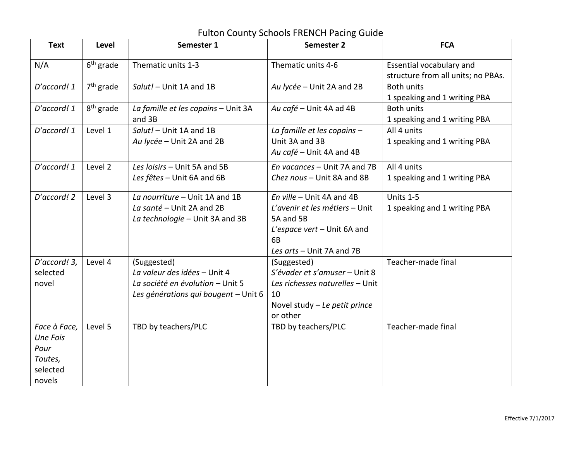## Fulton County Schools FRENCH Pacing Guide

| <b>Text</b>                                                              | <b>Level</b>          | Semester 1                                                                                                              | Semester 2                                                                                                                                 | <b>FCA</b>                                                     |
|--------------------------------------------------------------------------|-----------------------|-------------------------------------------------------------------------------------------------------------------------|--------------------------------------------------------------------------------------------------------------------------------------------|----------------------------------------------------------------|
| N/A                                                                      | $6th$ grade           | Thematic units 1-3                                                                                                      | Thematic units 4-6                                                                                                                         | Essential vocabulary and<br>structure from all units; no PBAs. |
| D'accord! 1                                                              | $7th$ grade           | Salut! - Unit 1A and 1B                                                                                                 | Au lycée - Unit 2A and 2B                                                                                                                  | <b>Both units</b><br>1 speaking and 1 writing PBA              |
| D'accord! 1                                                              | 8 <sup>th</sup> grade | La famille et les copains - Unit 3A<br>and 3B                                                                           | Au café - Unit 4A ad 4B                                                                                                                    | <b>Both units</b><br>1 speaking and 1 writing PBA              |
| D'accord! 1                                                              | Level 1               | Salut! - Unit 1A and 1B<br>Au lycée - Unit 2A and 2B                                                                    | La famille et les copains -<br>Unit 3A and 3B<br>Au café - Unit 4A and 4B                                                                  | All 4 units<br>1 speaking and 1 writing PBA                    |
| D'accord! 1                                                              | Level 2               | Les loisirs - Unit 5A and 5B<br>Les fêtes - Unit 6A and 6B                                                              | En vacances - Unit 7A and 7B<br>Chez nous - Unit 8A and 8B                                                                                 | All 4 units<br>1 speaking and 1 writing PBA                    |
| D'accord! 2                                                              | Level 3               | La nourriture - Unit 1A and 1B<br>La santé - Unit 2A and 2B<br>La technologie - Unit 3A and 3B                          | En ville – Unit 4A and 4B<br>L'avenir et les métiers - Unit<br>5A and 5B<br>L'espace vert - Unit 6A and<br>6B<br>Les arts - Unit 7A and 7B | Units 1-5<br>1 speaking and 1 writing PBA                      |
| D'accord! 3,<br>selected<br>novel                                        | Level 4               | (Suggested)<br>La valeur des idées - Unit 4<br>La société en évolution - Unit 5<br>Les générations qui bougent - Unit 6 | (Suggested)<br>S'évader et s'amuser - Unit 8<br>Les richesses naturelles - Unit<br>10<br>Novel study $-$ Le petit prince<br>or other       | Teacher-made final                                             |
| Face à Face,<br><b>Une Fois</b><br>Pour<br>Toutes,<br>selected<br>novels | Level 5               | TBD by teachers/PLC                                                                                                     | TBD by teachers/PLC                                                                                                                        | Teacher-made final                                             |